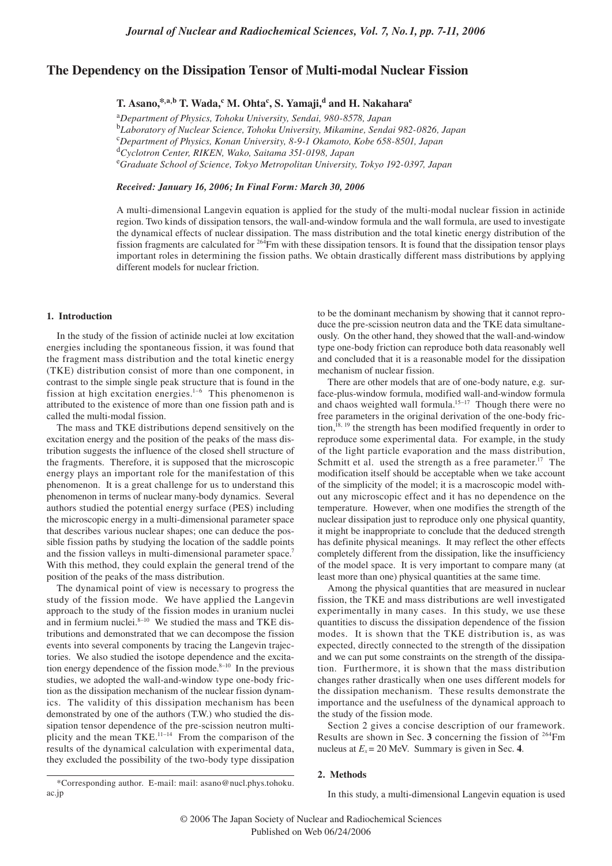# **The Dependency on the Dissipation Tensor of Multi-modal Nuclear Fission**

 $\mathbf{T}.$  Asano,\*<sup>,a,b</sup>  $\mathbf{T}.$  Wada,<sup>c</sup> M. Ohta<sup>c</sup>, S. Yamaji,<sup>d</sup> and H. Nakahara<sup>e</sup>

<sup>a</sup>*Department of Physics, Tohoku University, Sendai, 980-8578, Japan*  b  *Laboratory of Nuclear Science, Tohoku University, Mikamine, Sendai 982-0826, Japan* c  *Department of Physics, Konan University, 8-9-1 Okamoto, Kobe 658-8501, Japan* d  *Cyclotron Center, RIKEN, Wako, Saitama 351-0198, Japan* e  *Graduate School of Science, Tokyo Metropolitan University, Tokyo 192-0397, Japan*

*Received: January 16, 2006; In Final Form: March 30, 2006*

A multi-dimensional Langevin equation is applied for the study of the multi-modal nuclear fission in actinide region. Two kinds of dissipation tensors, the wall-and-window formula and the wall formula, are used to investigate the dynamical effects of nuclear dissipation. The mass distribution and the total kinetic energy distribution of the fission fragments are calculated for  $264$ Fm with these dissipation tensors. It is found that the dissipation tensor plays important roles in determining the fission paths. We obtain drastically different mass distributions by applying different models for nuclear friction.

### **1. Introduction**

ac.jp

In the study of the fission of actinide nuclei at low excitation energies including the spontaneous fission, it was found that the fragment mass distribution and the total kinetic energy (TKE) distribution consist of more than one component, in contrast to the simple single peak structure that is found in the fission at high excitation energies.<sup>1-6</sup> This phenomenon is attributed to the existence of more than one fission path and is called the multi-modal fission.

The mass and TKE distributions depend sensitively on the excitation energy and the position of the peaks of the mass distribution suggests the influence of the closed shell structure of the fragments. Therefore, it is supposed that the microscopic energy plays an important role for the manifestation of this phenomenon. It is a great challenge for us to understand this phenomenon in terms of nuclear many-body dynamics. Several authors studied the potential energy surface (PES) including the microscopic energy in a multi-dimensional parameter space that describes various nuclear shapes; one can deduce the possible fission paths by studying the location of the saddle points and the fission valleys in multi-dimensional parameter space.<sup>7</sup> With this method, they could explain the general trend of the position of the peaks of the mass distribution.

The dynamical point of view is necessary to progress the study of the fission mode. We have applied the Langevin approach to the study of the fission modes in uranium nuclei and in fermium nuclei. $8-10$  We studied the mass and TKE distributions and demonstrated that we can decompose the fission events into several components by tracing the Langevin trajectories. We also studied the isotope dependence and the excitation energy dependence of the fission mode. $8-10$  In the previous studies, we adopted the wall-and-window type one-body friction as the dissipation mechanism of the nuclear fission dynamics. The validity of this dissipation mechanism has been demonstrated by one of the authors (T.W.) who studied the dissipation tensor dependence of the pre-scission neutron multiplicity and the mean TKE.<sup>11–14</sup> From the comparison of the results of the dynamical calculation with experimental data, they excluded the possibility of the two-body type dissipation

\*Corresponding author. E-mail: mail: asano@nucl.phys.tohoku.

to be the dominant mechanism by showing that it cannot reproduce the pre-scission neutron data and the TKE data simultaneously. On the other hand, they showed that the wall-and-window type one-body friction can reproduce both data reasonably well and concluded that it is a reasonable model for the dissipation mechanism of nuclear fission.

There are other models that are of one-body nature, e.g. surface-plus-window formula, modified wall-and-window formula and chaos weighted wall formula.<sup>15-17</sup> Though there were no free parameters in the original derivation of the one-body friction, $18, 19$  the strength has been modified frequently in order to reproduce some experimental data. For example, in the study of the light particle evaporation and the mass distribution, Schmitt et al. used the strength as a free parameter.<sup>17</sup> The modification itself should be acceptable when we take account of the simplicity of the model; it is a macroscopic model without any microscopic effect and it has no dependence on the temperature. However, when one modifies the strength of the nuclear dissipation just to reproduce only one physical quantity, it might be inappropriate to conclude that the deduced strength has definite physical meanings. It may reflect the other effects completely different from the dissipation, like the insufficiency of the model space. It is very important to compare many (at least more than one) physical quantities at the same time.

Among the physical quantities that are measured in nuclear fission, the TKE and mass distributions are well investigated experimentally in many cases. In this study, we use these quantities to discuss the dissipation dependence of the fission modes. It is shown that the TKE distribution is, as was expected, directly connected to the strength of the dissipation and we can put some constraints on the strength of the dissipation. Furthermore, it is shown that the mass distribution changes rather drastically when one uses different models for the dissipation mechanism. These results demonstrate the importance and the usefulness of the dynamical approach to the study of the fission mode.

Section 2 gives a concise description of our framework. Results are shown in Sec. **3** concerning the fission of 264Fm nucleus at  $E_x = 20$  MeV. Summary is given in Sec. 4.

## **2. Methods**

In this study, a multi-dimensional Langevin equation is used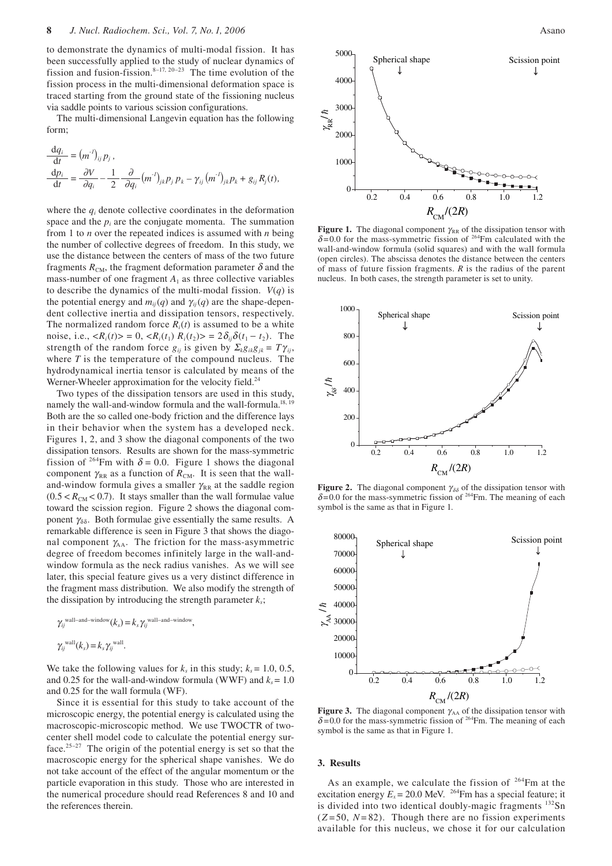to demonstrate the dynamics of multi-modal fission. It has been successfully applied to the study of nuclear dynamics of fission and fusion-fission. $8-17$ ,  $20-23$  The time evolution of the fission process in the multi-dimensional deformation space is traced starting from the ground state of the fissioning nucleus via saddle points to various scission configurations.

The multi-dimensional Langevin equation has the following form;

$$
\frac{\mathrm{d}q_i}{\mathrm{d}t} = (m^{\prime})_{ij} p_j, \n\frac{\mathrm{d}p_i}{\mathrm{d}t} = \frac{\partial V}{\partial q_i} - \frac{1}{2} \frac{\partial}{\partial q_i} (m^{\prime})_{jk} p_j p_k - \gamma_{ij} (m^{\prime})_{jk} p_k + g_{ij} R_j(t),
$$

where the  $q_i$  denote collective coordinates in the deformation space and the  $p_i$  are the conjugate momenta. The summation from 1 to *n* over the repeated indices is assumed with *n* being the number of collective degrees of freedom. In this study, we use the distance between the centers of mass of the two future fragments  $R_{CM}$ , the fragment deformation parameter  $\delta$  and the mass-number of one fragment  $A_1$  as three collective variables to describe the dynamics of the multi-modal fission.  $V(q)$  is the potential energy and  $m_{ij}(q)$  and  $\gamma_{ij}(q)$  are the shape-dependent collective inertia and dissipation tensors, respectively. The normalized random force  $R_i(t)$  is assumed to be a white noise, i.e.,  $\langle R_i(t) \rangle = 0$ ,  $\langle R_i(t_1) R_i(t_2) \rangle = 2 \delta_{ij} \delta(t_1 - t_2)$ . The strength of the random force  $g_{ij}$  is given by  $\sum_k g_{ik}g_{jk} = T\gamma_{ij}$ , where *T* is the temperature of the compound nucleus. The hydrodynamical inertia tensor is calculated by means of the Werner-Wheeler approximation for the velocity field.<sup>24</sup>

Two types of the dissipation tensors are used in this study, namely the wall-and-window formula and the wall-formula.<sup>18, 19</sup> Both are the so called one-body friction and the difference lays in their behavior when the system has a developed neck. Figures 1, 2, and 3 show the diagonal components of the two dissipation tensors. Results are shown for the mass-symmetric fission of <sup>264</sup>Fm with  $\delta = 0.0$ . Figure 1 shows the diagonal component  $\gamma_{RR}$  as a function of  $R_{CM}$ . It is seen that the walland-window formula gives a smaller  $\gamma_{RR}$  at the saddle region  $(0.5 < R<sub>CM</sub> < 0.7)$ . It stays smaller than the wall formulae value toward the scission region. Figure 2 shows the diagonal component  $\gamma_{\delta\delta}$ . Both formulae give essentially the same results. A remarkable difference is seen in Figure 3 that shows the diagonal component  $\gamma_{AA}$ . The friction for the mass-asymmetric degree of freedom becomes infinitely large in the wall-andwindow formula as the neck radius vanishes. As we will see later, this special feature gives us a very distinct difference in the fragment mass distribution. We also modify the strength of the dissipation by introducing the strength parameter  $k_s$ ;

$$
\gamma_{ij}^{\text{wall-and-window}}(k_s) = k_s \gamma_{ij}^{\text{wall-and-window}},
$$
  

$$
\gamma_{ij}^{\text{wall}}(k_s) = k_s \gamma_{ij}^{\text{wall}}.
$$

We take the following values for  $k_s$  in this study;  $k_s = 1.0, 0.5$ , and 0.25 for the wall-and-window formula (WWF) and  $k_s = 1.0$ and 0.25 for the wall formula (WF).

Since it is essential for this study to take account of the microscopic energy, the potential energy is calculated using the macroscopic-microscopic method. We use TWOCTR of twocenter shell model code to calculate the potential energy surface.25–27 The origin of the potential energy is set so that the macroscopic energy for the spherical shape vanishes. We do not take account of the effect of the angular momentum or the particle evaporation in this study. Those who are interested in the numerical procedure should read References 8 and 10 and the references therein.



**Figure 1.** The diagonal component  $\gamma_{RR}$  of the dissipation tensor with  $\delta$ =0.0 for the mass-symmetric fission of <sup>264</sup>Fm calculated with the wall-and-window formula (solid squares) and with the wall formula (open circles). The abscissa denotes the distance between the centers of mass of future fission fragments. *R* is the radius of the parent nucleus. In both cases, the strength parameter is set to unity.



**Figure 2.** The diagonal component  $\gamma_{\delta\delta}$  of the dissipation tensor with  $\delta$ =0.0 for the mass-symmetric fission of <sup>264</sup>Fm. The meaning of each symbol is the same as that in Figure 1.



**Figure 3.** The diagonal component  $\gamma_{AA}$  of the dissipation tensor with  $\delta$ =0.0 for the mass-symmetric fission of <sup>264</sup>Fm. The meaning of each symbol is the same as that in Figure 1.

#### **3. Results**

As an example, we calculate the fission of  $264$ Fm at the excitation energy  $E_x = 20.0$  MeV. <sup>264</sup>Fm has a special feature; it is divided into two identical doubly-magic fragments <sup>132</sup>Sn  $(Z=50, N=82)$ . Though there are no fission experiments available for this nucleus, we chose it for our calculation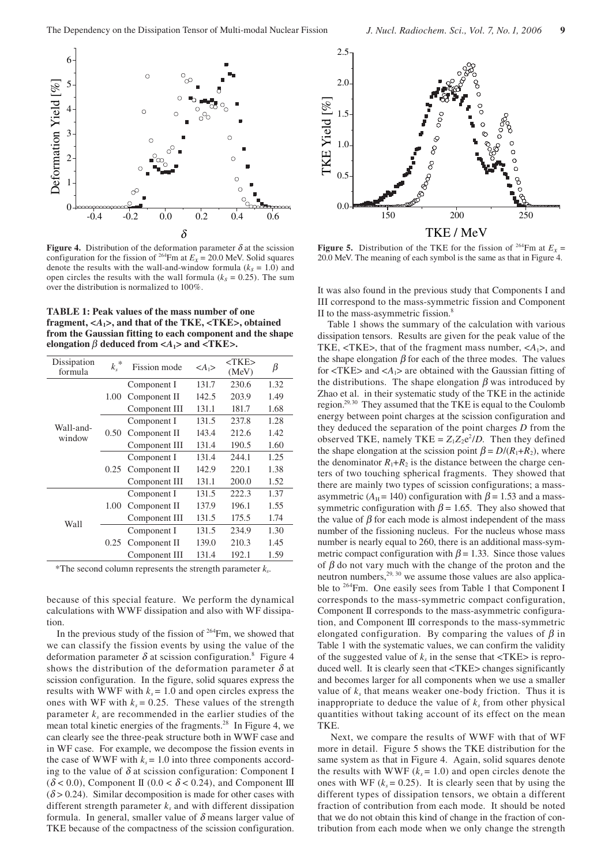

**Figure 4.** Distribution of the deformation parameter  $\delta$  at the scission configuration for the fission of <sup>264</sup>Fm at  $E_x = 20.0$  MeV. Solid squares denote the results with the wall-and-window formula  $(k<sub>s</sub> = 1.0)$  and open circles the results with the wall formula  $(k<sub>s</sub> = 0.25)$ . The sum over the distribution is normalized to 100%.

**TABLE 1: Peak values of the mass number of one fragment, <***A***1>, and that of the TKE, <TKE>, obtained from the Gaussian fitting to each component and the shape elongation**  $\beta$  deduced from  $\langle A_1 \rangle$  and  $\langle TKE \rangle$ .

| Dissipation<br>formula | $\ast$<br>$k_{s}$ | Fission mode  | $\langle A_1 \rangle$ | $<$ TKE $>$<br>(MeV) | β    |
|------------------------|-------------------|---------------|-----------------------|----------------------|------|
| Wall-and-<br>window    | 1.00              | Component I   | 131.7                 | 230.6                | 1.32 |
|                        |                   | Component II  | 142.5                 | 203.9                | 1.49 |
|                        |                   | Component III | 131.1                 | 181.7                | 1.68 |
|                        | 0.50              | Component I   | 131.5                 | 237.8                | 1.28 |
|                        |                   | Component II  | 143.4                 | 212.6                | 1.42 |
|                        |                   | Component III | 131.4                 | 190.5                | 1.60 |
|                        | 0.25              | Component I   | 131.4                 | 244.1                | 1.25 |
|                        |                   | Component II  | 142.9                 | 220.1                | 1.38 |
|                        |                   | Component III | 131.1                 | 200.0                | 1.52 |
| Wall                   | 1.00              | Component I   | 131.5                 | 222.3                | 1.37 |
|                        |                   | Component II  | 137.9                 | 196.1                | 1.55 |
|                        |                   | Component III | 131.5                 | 175.5                | 1.74 |
|                        | 0.25              | Component I   | 131.5                 | 234.9                | 1.30 |
|                        |                   | Component II  | 139.0                 | 210.3                | 1.45 |
|                        |                   | Component III | 131.4                 | 192.1                | 1.59 |

\*The second column represents the strength parameter  $k<sub>s</sub>$ .

because of this special feature. We perform the dynamical calculations with WWF dissipation and also with WF dissipation.

In the previous study of the fission of  $264$ Fm, we showed that we can classify the fission events by using the value of the deformation parameter  $\delta$  at scission configuration.<sup>8</sup> Figure 4 shows the distribution of the deformation parameter  $\delta$  at scission configuration. In the figure, solid squares express the results with WWF with  $k_s = 1.0$  and open circles express the ones with WF with  $k_s = 0.25$ . These values of the strength parameter  $k_s$  are recommended in the earlier studies of the mean total kinetic energies of the fragments.28 In Figure 4, we can clearly see the three-peak structure both in WWF case and in WF case. For example, we decompose the fission events in the case of WWF with  $k_s = 1.0$  into three components according to the value of  $\delta$  at scission configuration: Component I  $(\delta < 0.0)$ , Component II (0.0 <  $\delta$  < 0.24), and Component III  $(\delta > 0.24)$ . Similar decomposition is made for other cases with different strength parameter  $k_s$  and with different dissipation formula. In general, smaller value of  $\delta$  means larger value of TKE because of the compactness of the scission configuration.



**Figure 5.** Distribution of the TKE for the fission of <sup>264</sup>Fm at  $E_x$  = 20.0 MeV. The meaning of each symbol is the same as that in Figure 4.

It was also found in the previous study that Components I and III correspond to the mass-symmetric fission and Component II to the mass-asymmetric fission.<sup>8</sup>

Table 1 shows the summary of the calculation with various dissipation tensors. Results are given for the peak value of the TKE,  $\langle$ TKE>, that of the fragment mass number,  $\langle A_1 \rangle$ , and the shape elongation  $\beta$  for each of the three modes. The values for  $\langle TKE \rangle$  and  $\langle A_1 \rangle$  are obtained with the Gaussian fitting of the distributions. The shape elongation  $\beta$  was introduced by Zhao et al. in their systematic study of the TKE in the actinide region.29, 30 They assumed that the TKE is equal to the Coulomb energy between point charges at the scission configuration and they deduced the separation of the point charges *D* from the observed TKE, namely TKE =  $Z_1 Z_2 e^2/D$ . Then they defined the shape elongation at the scission point  $\beta = D/(R_1 + R_2)$ , where the denominator  $R_1 + R_2$  is the distance between the charge centers of two touching spherical fragments. They showed that there are mainly two types of scission configurations; a massasymmetric ( $A_H$  = 140) configuration with  $\beta$  = 1.53 and a masssymmetric configuration with  $\beta$  = 1.65. They also showed that the value of  $\beta$  for each mode is almost independent of the mass number of the fissioning nucleus. For the nucleus whose mass number is nearly equal to 260, there is an additional mass-symmetric compact configuration with  $\beta$  = 1.33. Since those values of  $\beta$  do not vary much with the change of the proton and the neutron numbers,  $29, 30$  we assume those values are also applicable to <sup>264</sup>Fm. One easily sees from Table 1 that Component I corresponds to the mass-symmetric compact configuration, Component II corresponds to the mass-asymmetric configuration, and Component III corresponds to the mass-symmetric elongated configuration. By comparing the values of  $\beta$  in Table 1 with the systematic values, we can confirm the validity of the suggested value of  $k_s$  in the sense that  $\langle \text{TKE} \rangle$  is reproduced well. It is clearly seen that <TKE> changes significantly and becomes larger for all components when we use a smaller value of  $k<sub>s</sub>$  that means weaker one-body friction. Thus it is inappropriate to deduce the value of  $k<sub>s</sub>$  from other physical quantities without taking account of its effect on the mean TKE.

 Next, we compare the results of WWF with that of WF more in detail. Figure 5 shows the TKE distribution for the same system as that in Figure 4. Again, solid squares denote the results with WWF  $(k_s = 1.0)$  and open circles denote the ones with WF  $(k<sub>s</sub> = 0.25)$ . It is clearly seen that by using the different types of dissipation tensors, we obtain a different fraction of contribution from each mode. It should be noted that we do not obtain this kind of change in the fraction of contribution from each mode when we only change the strength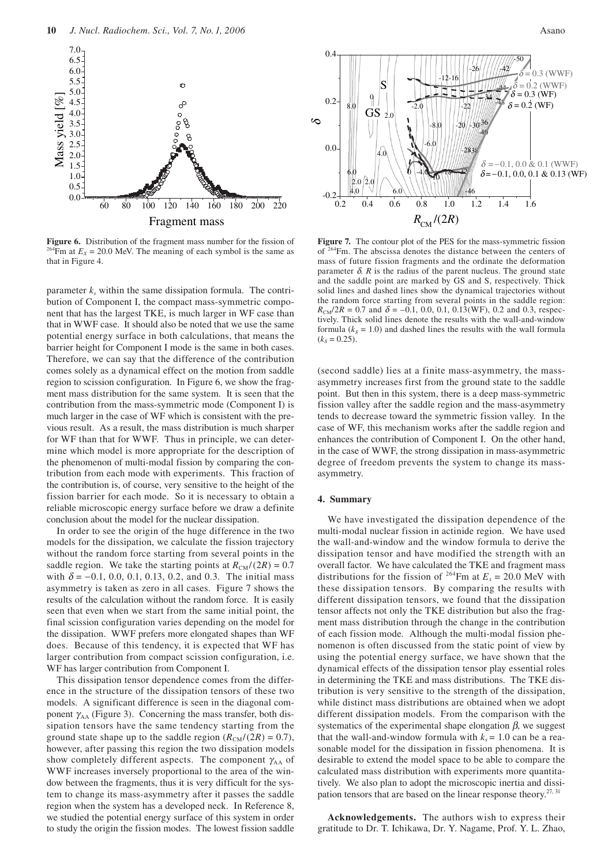

**Figure 6.** Distribution of the fragment mass number for the fission of  $2^{64}$ Fm at  $E_x = 20.0$  MeV. The meaning of each symbol is the same as that in Figure 4.

parameter  $k_s$  within the same dissipation formula. The contribution of Component I, the compact mass-symmetric component that has the largest TKE, is much larger in WF case than that in WWF case. It should also be noted that we use the same potential energy surface in both calculations, that means the barrier height for Component I mode is the same in both cases. Therefore, we can say that the difference of the contribution comes solely as a dynamical effect on the motion from saddle region to scission configuration. In Figure 6, we show the fragment mass distribution for the same system. It is seen that the contribution from the mass-symmetric mode (Component I) is much larger in the case of WF which is consistent with the previous result. As a result, the mass distribution is much sharper for WF than that for WWF. Thus in principle, we can determine which model is more appropriate for the description of the phenomenon of multi-modal fission by comparing the contribution from each mode with experiments. This fraction of the contribution is, of course, very sensitive to the height of the fission barrier for each mode. So it is necessary to obtain a reliable microscopic energy surface before we draw a definite conclusion about the model for the nuclear dissipation.

In order to see the origin of the huge difference in the two models for the dissipation, we calculate the fission trajectory without the random force starting from several points in the saddle region. We take the starting points at  $R_{CM}/(2R) = 0.7$ with  $\delta$  = −0.1, 0.0, 0.1, 0.13, 0.2, and 0.3. The initial mass asymmetry is taken as zero in all cases. Figure 7 shows the results of the calculation without the random force. It is easily seen that even when we start from the same initial point, the final scission configuration varies depending on the model for the dissipation. WWF prefers more elongated shapes than WF does. Because of this tendency, it is expected that WF has larger contribution from compact scission configuration, i.e. WF has larger contribution from Component I.

This dissipation tensor dependence comes from the difference in the structure of the dissipation tensors of these two models. A significant difference is seen in the diagonal component  $\gamma_{AA}$  (Figure 3). Concerning the mass transfer, both dissipation tensors have the same tendency starting from the ground state shape up to the saddle region  $(R_{CM}/(2R) = 0.7)$ , however, after passing this region the two dissipation models show completely different aspects. The component  $\gamma_{AA}$  of WWF increases inversely proportional to the area of the window between the fragments, thus it is very difficult for the system to change its mass-asymmetry after it passes the saddle region when the system has a developed neck. In Reference 8, we studied the potential energy surface of this system in order to study the origin the fission modes. The lowest fission saddle



**Figure 7.** The contour plot of the PES for the mass-symmetric fission of 264Fm. The abscissa denotes the distance between the centers of mass of future fission fragments and the ordinate the deformation parameter  $\delta$ .  $R$  is the radius of the parent nucleus. The ground state and the saddle point are marked by GS and S, respectively. Thick solid lines and dashed lines show the dynamical trajectories without the random force starting from several points in the saddle region:  $R_{\text{CM}}/2R = 0.7$  and  $\delta = -0.1, 0.0, 0.1, 0.13$  (WF), 0.2 and 0.3, respectively. Thick solid lines denote the results with the wall-and-window formula  $(k<sub>s</sub> = 1.0)$  and dashed lines the results with the wall formula  $(k_s = 0.25)$ .

(second saddle) lies at a finite mass-asymmetry, the massasymmetry increases first from the ground state to the saddle point. But then in this system, there is a deep mass-symmetric fission valley after the saddle region and the mass-asymmetry tends to decrease toward the symmetric fission valley. In the case of WF, this mechanism works after the saddle region and enhances the contribution of Component I. On the other hand, in the case of WWF, the strong dissipation in mass-asymmetric degree of freedom prevents the system to change its massasymmetry.

## **4. Summary**

We have investigated the dissipation dependence of the multi-modal nuclear fission in actinide region. We have used the wall-and-window and the window formula to derive the dissipation tensor and have modified the strength with an overall factor. We have calculated the TKE and fragment mass distributions for the fission of <sup>264</sup>Fm at  $E_x = 20.0$  MeV with these dissipation tensors. By comparing the results with different dissipation tensors, we found that the dissipation tensor affects not only the TKE distribution but also the fragment mass distribution through the change in the contribution of each fission mode. Although the multi-modal fission phenomenon is often discussed from the static point of view by using the potential energy surface, we have shown that the dynamical effects of the dissipation tensor play essential roles in determining the TKE and mass distributions. The TKE distribution is very sensitive to the strength of the dissipation, while distinct mass distributions are obtained when we adopt different dissipation models. From the comparison with the systematics of the experimental shape elongation  $\beta$ , we suggest that the wall-and-window formula with  $k_s = 1.0$  can be a reasonable model for the dissipation in fission phenomena. It is desirable to extend the model space to be able to compare the calculated mass distribution with experiments more quantitatively. We also plan to adopt the microscopic inertia and dissipation tensors that are based on the linear response theory. $27,31$ 

**Acknowledgements.** The authors wish to express their gratitude to Dr. T. Ichikawa, Dr. Y. Nagame, Prof. Y. L. Zhao,